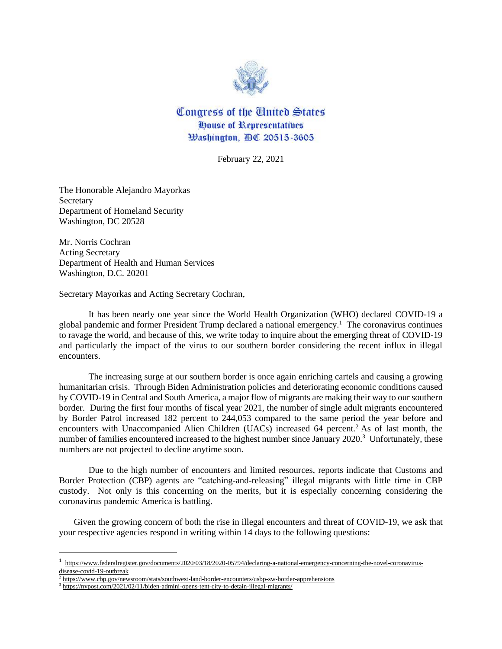

Congress of the United States **House of Representatives** Washington, DC 20515-3605

February 22, 2021

The Honorable Alejandro Mayorkas **Secretary** Department of Homeland Security Washington, DC 20528

Mr. Norris Cochran Acting Secretary Department of Health and Human Services Washington, D.C. 20201

Secretary Mayorkas and Acting Secretary Cochran,

It has been nearly one year since the World Health Organization (WHO) declared COVID-19 a global pandemic and former President Trump declared a national emergency.<sup>1</sup> The coronavirus continues to ravage the world, and because of this, we write today to inquire about the emerging threat of COVID-19 and particularly the impact of the virus to our southern border considering the recent influx in illegal encounters.

The increasing surge at our southern border is once again enriching cartels and causing a growing humanitarian crisis. Through Biden Administration policies and deteriorating economic conditions caused by COVID-19 in Central and South America, a major flow of migrants are making their way to our southern border. During the first four months of fiscal year 2021, the number of single adult migrants encountered by Border Patrol increased 182 percent to 244,053 compared to the same period the year before and encounters with Unaccompanied Alien Children (UACs) increased 64 percent.<sup>2</sup> As of last month, the number of families encountered increased to the highest number since January 2020.<sup>3</sup> Unfortunately, these numbers are not projected to decline anytime soon.

Due to the high number of encounters and limited resources, reports indicate that Customs and Border Protection (CBP) agents are "catching-and-releasing" illegal migrants with little time in CBP custody. Not only is this concerning on the merits, but it is especially concerning considering the coronavirus pandemic America is battling.

Given the growing concern of both the rise in illegal encounters and threat of COVID-19, we ask that your respective agencies respond in writing within 14 days to the following questions:

<sup>&</sup>lt;sup>1</sup> [https://www.federalregister.gov/documents/2020/03/18/2020-05794/declaring-a-national-emergency-concerning-the-novel-coronavirus](https://www.federalregister.gov/documents/2020/03/18/2020-05794/declaring-a-national-emergency-concerning-the-novel-coronavirus-disease-covid-19-outbreak)[disease-covid-19-outbreak](https://www.federalregister.gov/documents/2020/03/18/2020-05794/declaring-a-national-emergency-concerning-the-novel-coronavirus-disease-covid-19-outbreak)

<sup>&</sup>lt;sup>2</sup> <https://www.cbp.gov/newsroom/stats/southwest-land-border-encounters/usbp-sw-border-apprehensions>

<sup>&</sup>lt;sup>3</sup> <https://nypost.com/2021/02/11/biden-admini-opens-tent-city-to-detain-illegal-migrants/>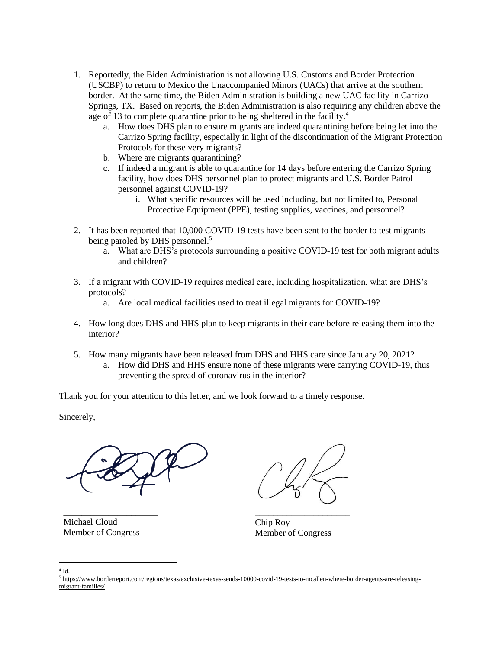- 1. Reportedly, the Biden Administration is not allowing U.S. Customs and Border Protection (USCBP) to return to Mexico the Unaccompanied Minors (UACs) that arrive at the southern border. At the same time, the Biden Administration is building a new UAC facility in Carrizo Springs, TX. Based on reports, the Biden Administration is also requiring any children above the age of 13 to complete quarantine prior to being sheltered in the facility.<sup>4</sup>
	- a. How does DHS plan to ensure migrants are indeed quarantining before being let into the Carrizo Spring facility, especially in light of the discontinuation of the Migrant Protection Protocols for these very migrants?
	- b. Where are migrants quarantining?
	- c. If indeed a migrant is able to quarantine for 14 days before entering the Carrizo Spring facility, how does DHS personnel plan to protect migrants and U.S. Border Patrol personnel against COVID-19?
		- i. What specific resources will be used including, but not limited to, Personal Protective Equipment (PPE), testing supplies, vaccines, and personnel?
- 2. It has been reported that 10,000 COVID-19 tests have been sent to the border to test migrants being paroled by DHS personnel.<sup>5</sup>
	- a. What are DHS's protocols surrounding a positive COVID-19 test for both migrant adults and children?
- 3. If a migrant with COVID-19 requires medical care, including hospitalization, what are DHS's protocols?
	- a. Are local medical facilities used to treat illegal migrants for COVID-19?
- 4. How long does DHS and HHS plan to keep migrants in their care before releasing them into the interior?
- 5. How many migrants have been released from DHS and HHS care since January 20, 2021?
	- a. How did DHS and HHS ensure none of these migrants were carrying COVID-19, thus preventing the spread of coronavirus in the interior?

Thank you for your attention to this letter, and we look forward to a timely response.

Sincerely,



Michael Cloud Member of Congress

\_\_\_\_\_\_\_\_\_\_\_\_\_\_\_\_\_\_\_\_\_

\_\_\_\_\_\_\_\_\_\_\_\_\_\_\_\_\_\_\_\_\_ Chip Roy Member of Congress

 $4$  Id. <sup>5</sup> [https://www.borderreport.com/regions/texas/exclusive-texas-sends-10000-covid-19-tests-to-mcallen-where-border-agents-are-releasing](https://www.borderreport.com/regions/texas/exclusive-texas-sends-10000-covid-19-tests-to-mcallen-where-border-agents-are-releasing-migrant-families/)[migrant-families/](https://www.borderreport.com/regions/texas/exclusive-texas-sends-10000-covid-19-tests-to-mcallen-where-border-agents-are-releasing-migrant-families/)